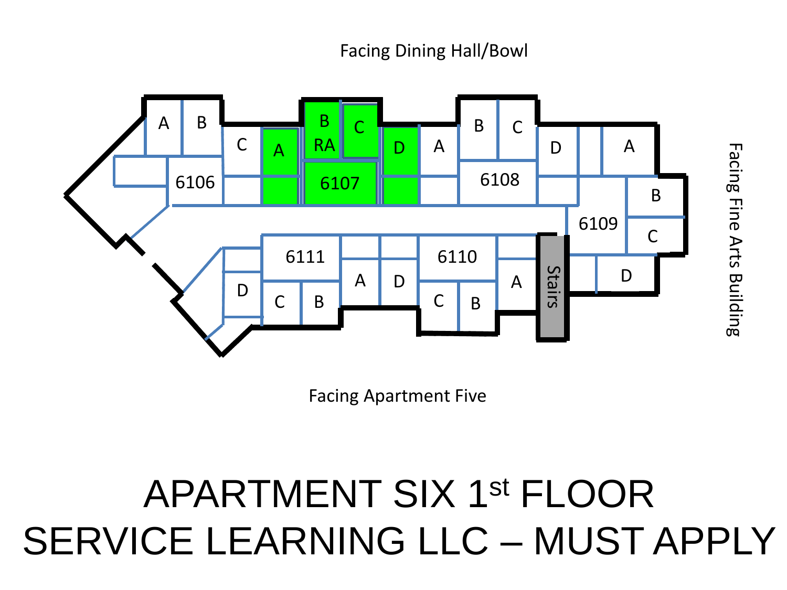#### Facing Dining Hall/Bowl

Facing Fine Arts Building



Facing Apartment Five

### APARTMENT SIX 1st FLOOR SERVICE LEARNING LLC – MUST APPLY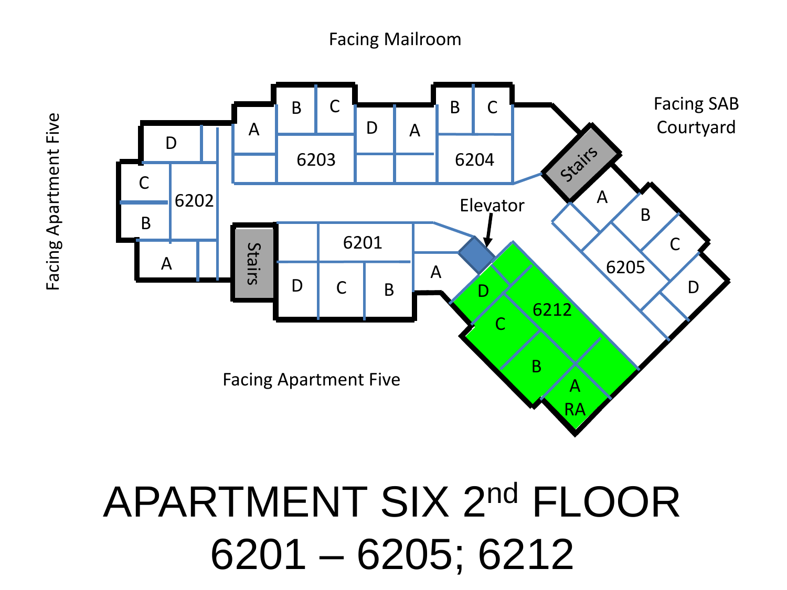#### Facing Mailroom



## APARTMENT SIX 2nd FLOOR 6201 – 6205; 6212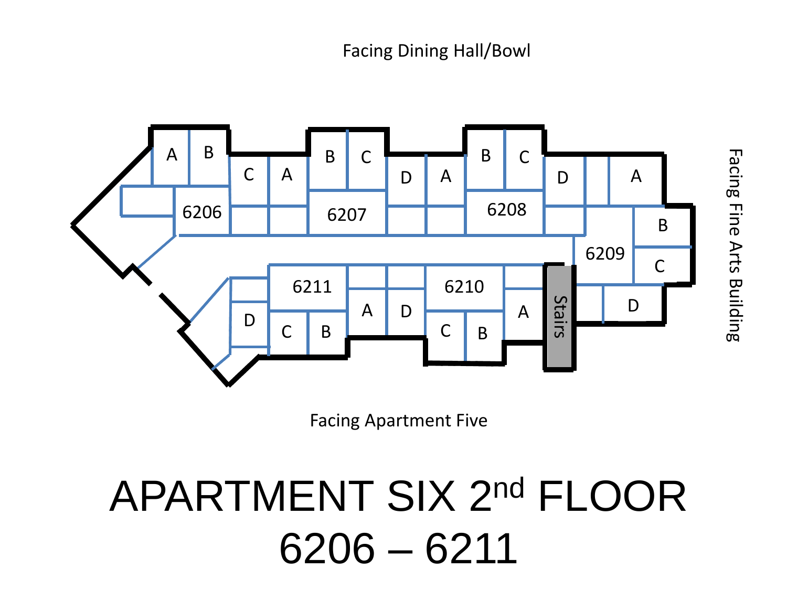

Facing Apartment Five

## APARTMENT SIX 2nd FLOOR 6206 – 6211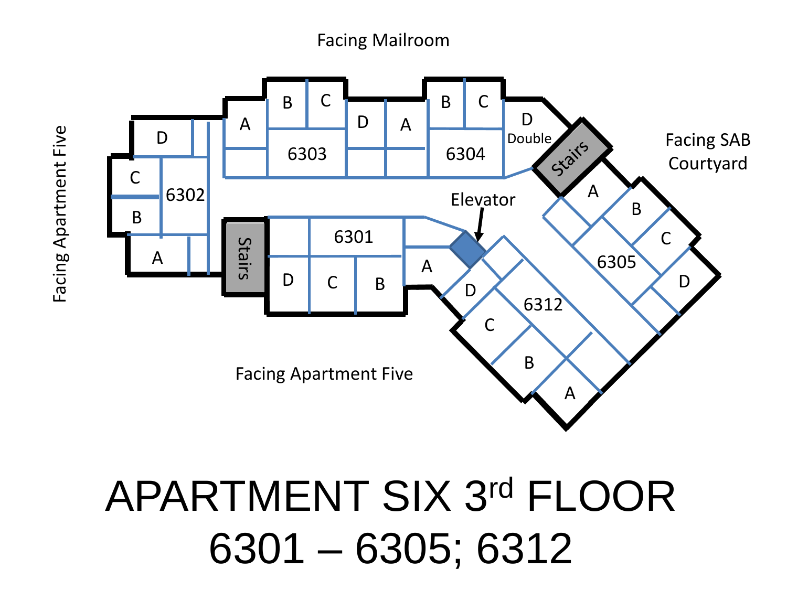Facing Mailroom



APARTMENT SIX 3rd FLOOR 6301 – 6305; 6312

Facing Apartment Five Facing Apartment Five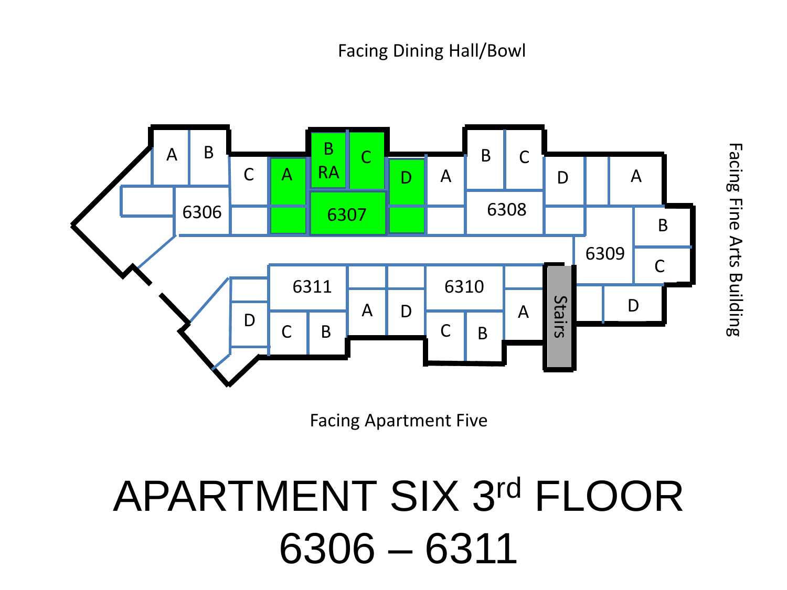#### Facing Dining Hall/Bowl



Facing Apartment Five

### APARTMENT SIX 3rd FLOOR 6306 – 6311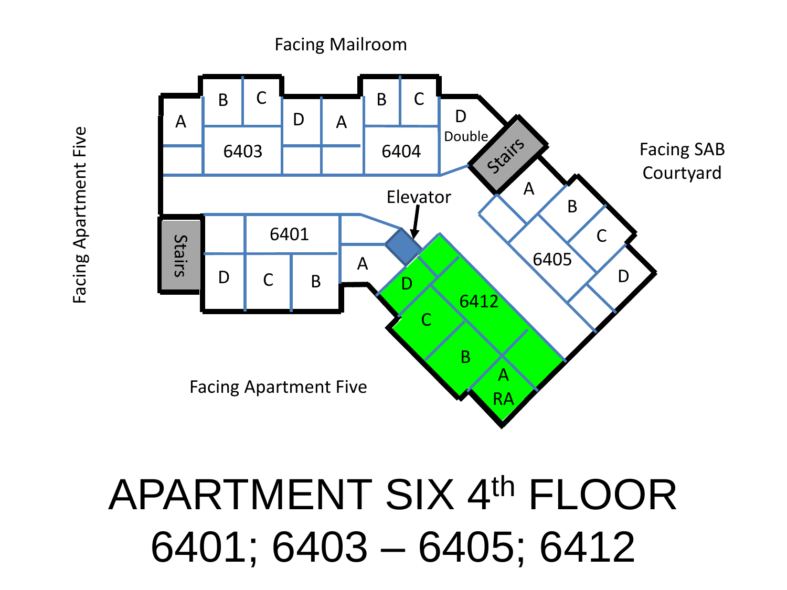# APARTMENT SIX 4th FLOOR 6401; 6403 – 6405; 6412



Facing Apartment Five Facing Apartment Five Facing Mailroom